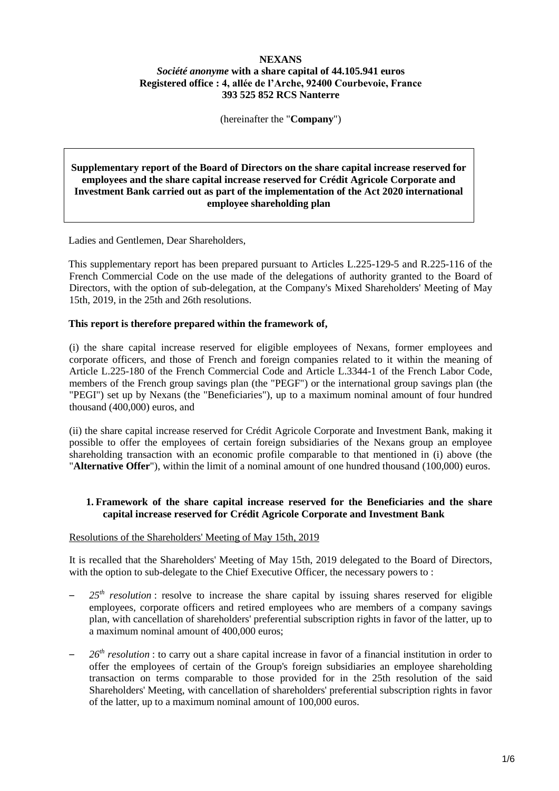## **NEXANS**

# *Société anonyme* **with a share capital of 44.105.941 euros Registered office : 4, allée de l'Arche, 92400 Courbevoie, France 393 525 852 RCS Nanterre**

(hereinafter the "**Company**")

### **Supplementary report of the Board of Directors on the share capital increase reserved for employees and the share capital increase reserved for Crédit Agricole Corporate and Investment Bank carried out as part of the implementation of the Act 2020 international employee shareholding plan**

Ladies and Gentlemen, Dear Shareholders,

This supplementary report has been prepared pursuant to Articles L.225-129-5 and R.225-116 of the French Commercial Code on the use made of the delegations of authority granted to the Board of Directors, with the option of sub-delegation, at the Company's Mixed Shareholders' Meeting of May 15th, 2019, in the 25th and 26th resolutions.

## **This report is therefore prepared within the framework of,**

(i) the share capital increase reserved for eligible employees of Nexans, former employees and corporate officers, and those of French and foreign companies related to it within the meaning of Article L.225-180 of the French Commercial Code and Article L.3344-1 of the French Labor Code, members of the French group savings plan (the "PEGF") or the international group savings plan (the "PEGI") set up by Nexans (the "Beneficiaries"), up to a maximum nominal amount of four hundred thousand (400,000) euros, and

(ii) the share capital increase reserved for Crédit Agricole Corporate and Investment Bank, making it possible to offer the employees of certain foreign subsidiaries of the Nexans group an employee shareholding transaction with an economic profile comparable to that mentioned in (i) above (the "**Alternative Offer**"), within the limit of a nominal amount of one hundred thousand (100,000) euros.

# **1. Framework of the share capital increase reserved for the Beneficiaries and the share capital increase reserved for Crédit Agricole Corporate and Investment Bank**

#### Resolutions of the Shareholders' Meeting of May 15th, 2019

It is recalled that the Shareholders' Meeting of May 15th, 2019 delegated to the Board of Directors, with the option to sub-delegate to the Chief Executive Officer, the necessary powers to :

- 25<sup>th</sup> *resolution*: resolve to increase the share capital by issuing shares reserved for eligible employees, corporate officers and retired employees who are members of a company savings plan, with cancellation of shareholders' preferential subscription rights in favor of the latter, up to a maximum nominal amount of 400,000 euros;
- *26 th resolution* : to carry out a share capital increase in favor of a financial institution in order to offer the employees of certain of the Group's foreign subsidiaries an employee shareholding transaction on terms comparable to those provided for in the 25th resolution of the said Shareholders' Meeting, with cancellation of shareholders' preferential subscription rights in favor of the latter, up to a maximum nominal amount of 100,000 euros.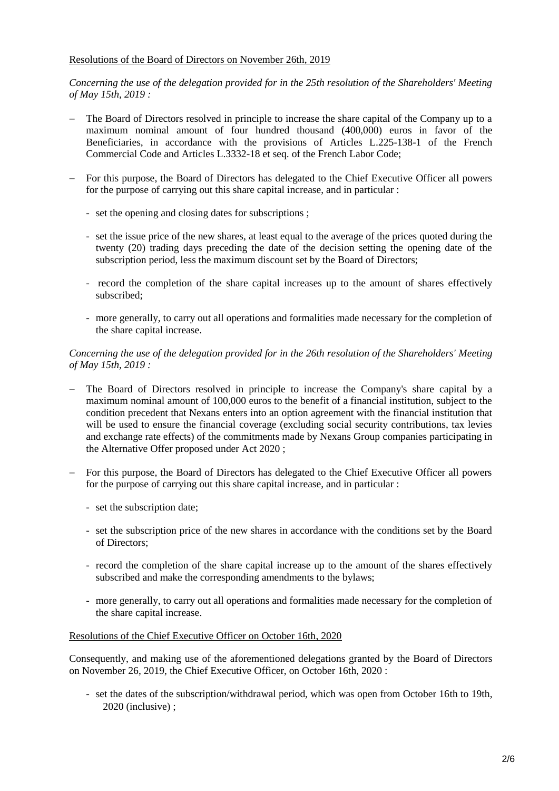## Resolutions of the Board of Directors on November 26th, 2019

*Concerning the use of the delegation provided for in the 25th resolution of the Shareholders' Meeting of May 15th, 2019 :*

- The Board of Directors resolved in principle to increase the share capital of the Company up to a maximum nominal amount of four hundred thousand (400,000) euros in favor of the Beneficiaries, in accordance with the provisions of Articles L.225-138-1 of the French Commercial Code and Articles L.3332-18 et seq. of the French Labor Code;
- For this purpose, the Board of Directors has delegated to the Chief Executive Officer all powers for the purpose of carrying out this share capital increase, and in particular :
	- set the opening and closing dates for subscriptions ;
	- set the issue price of the new shares, at least equal to the average of the prices quoted during the twenty (20) trading days preceding the date of the decision setting the opening date of the subscription period, less the maximum discount set by the Board of Directors;
	- record the completion of the share capital increases up to the amount of shares effectively subscribed;
	- more generally, to carry out all operations and formalities made necessary for the completion of the share capital increase.

### *Concerning the use of the delegation provided for in the 26th resolution of the Shareholders' Meeting of May 15th, 2019 :*

- The Board of Directors resolved in principle to increase the Company's share capital by a maximum nominal amount of 100,000 euros to the benefit of a financial institution, subject to the condition precedent that Nexans enters into an option agreement with the financial institution that will be used to ensure the financial coverage (excluding social security contributions, tax levies and exchange rate effects) of the commitments made by Nexans Group companies participating in the Alternative Offer proposed under Act 2020 ;
- For this purpose, the Board of Directors has delegated to the Chief Executive Officer all powers for the purpose of carrying out this share capital increase, and in particular :
	- set the subscription date;
	- set the subscription price of the new shares in accordance with the conditions set by the Board of Directors;
	- record the completion of the share capital increase up to the amount of the shares effectively subscribed and make the corresponding amendments to the bylaws;
	- more generally, to carry out all operations and formalities made necessary for the completion of the share capital increase.

#### Resolutions of the Chief Executive Officer on October 16th, 2020

Consequently, and making use of the aforementioned delegations granted by the Board of Directors on November 26, 2019, the Chief Executive Officer, on October 16th, 2020 :

- set the dates of the subscription/withdrawal period, which was open from October 16th to 19th, 2020 (inclusive) :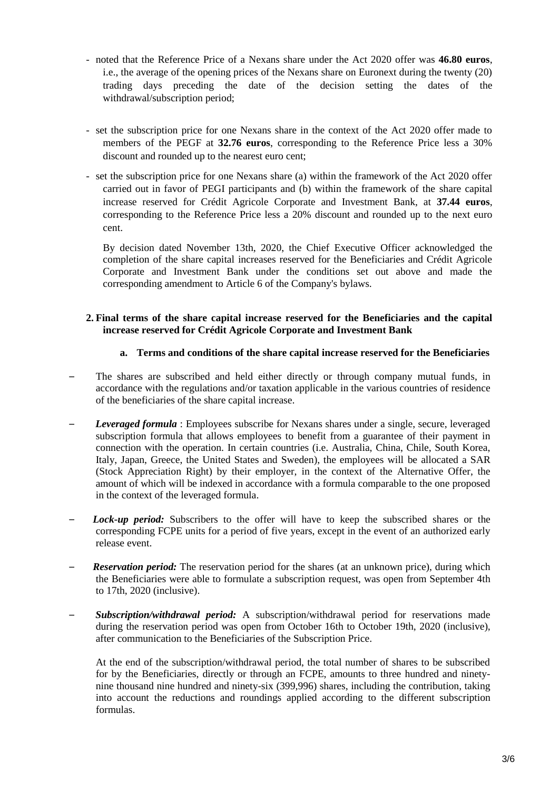- noted that the Reference Price of a Nexans share under the Act 2020 offer was **46.80 euros**, i.e., the average of the opening prices of the Nexans share on Euronext during the twenty (20) trading days preceding the date of the decision setting the dates of the withdrawal/subscription period;
- set the subscription price for one Nexans share in the context of the Act 2020 offer made to members of the PEGF at **32.76 euros**, corresponding to the Reference Price less a 30% discount and rounded up to the nearest euro cent;
- set the subscription price for one Nexans share (a) within the framework of the Act 2020 offer carried out in favor of PEGI participants and (b) within the framework of the share capital increase reserved for Crédit Agricole Corporate and Investment Bank, at **37.44 euros**, corresponding to the Reference Price less a 20% discount and rounded up to the next euro cent.

By decision dated November 13th, 2020, the Chief Executive Officer acknowledged the completion of the share capital increases reserved for the Beneficiaries and Crédit Agricole Corporate and Investment Bank under the conditions set out above and made the corresponding amendment to Article 6 of the Company's bylaws.

## **2. Final terms of the share capital increase reserved for the Beneficiaries and the capital increase reserved for Crédit Agricole Corporate and Investment Bank**

# **a. Terms and conditions of the share capital increase reserved for the Beneficiaries**

- The shares are subscribed and held either directly or through company mutual funds, in accordance with the regulations and/or taxation applicable in the various countries of residence of the beneficiaries of the share capital increase.
- *Leveraged formula* : Employees subscribe for Nexans shares under a single, secure, leveraged subscription formula that allows employees to benefit from a guarantee of their payment in connection with the operation. In certain countries (i.e. Australia, China, Chile, South Korea, Italy, Japan, Greece, the United States and Sweden), the employees will be allocated a SAR (Stock Appreciation Right) by their employer, in the context of the Alternative Offer, the amount of which will be indexed in accordance with a formula comparable to the one proposed in the context of the leveraged formula.
- *Lock-up period:* Subscribers to the offer will have to keep the subscribed shares or the corresponding FCPE units for a period of five years, except in the event of an authorized early release event.
- –*Reservation period:* The reservation period for the shares (at an unknown price), during which the Beneficiaries were able to formulate a subscription request, was open from September 4th to 17th, 2020 (inclusive).
- *Subscription/withdrawal period:* A subscription/withdrawal period for reservations made during the reservation period was open from October 16th to October 19th, 2020 (inclusive), after communication to the Beneficiaries of the Subscription Price.

At the end of the subscription/withdrawal period, the total number of shares to be subscribed for by the Beneficiaries, directly or through an FCPE, amounts to three hundred and ninetynine thousand nine hundred and ninety-six (399,996) shares, including the contribution, taking into account the reductions and roundings applied according to the different subscription formulas.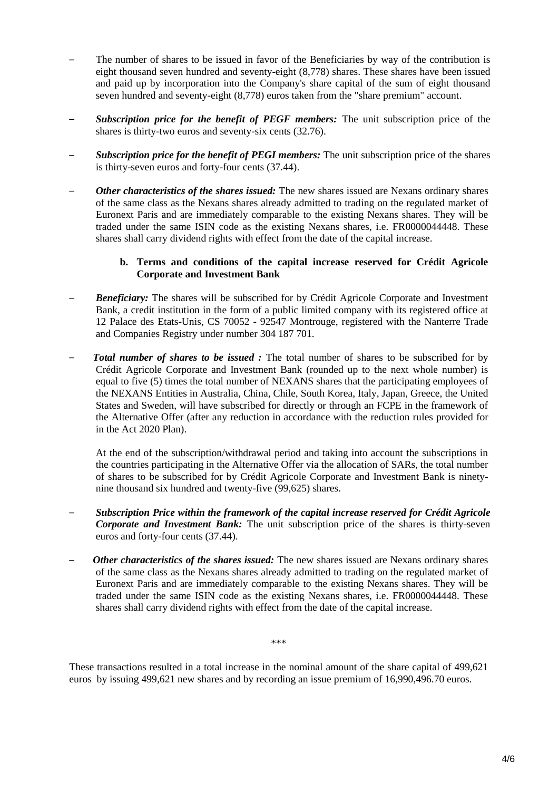- The number of shares to be issued in favor of the Beneficiaries by way of the contribution is eight thousand seven hundred and seventy-eight (8,778) shares. These shares have been issued and paid up by incorporation into the Company's share capital of the sum of eight thousand seven hundred and seventy-eight (8,778) euros taken from the "share premium" account.
- *Subscription price for the benefit of PEGF members:* The unit subscription price of the shares is thirty-two euros and seventy-six cents (32.76).
- *Subscription price for the benefit of PEGI members:* The unit subscription price of the shares is thirty-seven euros and forty-four cents (37.44).
- *Other characteristics of the shares issued:* The new shares issued are Nexans ordinary shares of the same class as the Nexans shares already admitted to trading on the regulated market of Euronext Paris and are immediately comparable to the existing Nexans shares. They will be traded under the same ISIN code as the existing Nexans shares, i.e. FR0000044448. These shares shall carry dividend rights with effect from the date of the capital increase.

## **b. Terms and conditions of the capital increase reserved for Crédit Agricole Corporate and Investment Bank**

- **Beneficiary:** The shares will be subscribed for by Crédit Agricole Corporate and Investment Bank, a credit institution in the form of a public limited company with its registered office at 12 Palace des Etats-Unis, CS 70052 - 92547 Montrouge, registered with the Nanterre Trade and Companies Registry under number 304 187 701.
- – *Total number of shares to be issued :* The total number of shares to be subscribed for by Crédit Agricole Corporate and Investment Bank (rounded up to the next whole number) is equal to five (5) times the total number of NEXANS shares that the participating employees of the NEXANS Entities in Australia, China, Chile, South Korea, Italy, Japan, Greece, the United States and Sweden, will have subscribed for directly or through an FCPE in the framework of the Alternative Offer (after any reduction in accordance with the reduction rules provided for in the Act 2020 Plan).

At the end of the subscription/withdrawal period and taking into account the subscriptions in the countries participating in the Alternative Offer via the allocation of SARs, the total number of shares to be subscribed for by Crédit Agricole Corporate and Investment Bank is ninetynine thousand six hundred and twenty-five (99,625) shares.

- *Subscription Price within the framework of the capital increase reserved for Crédit Agricole Corporate and Investment Bank:* The unit subscription price of the shares is thirty-seven euros and forty-four cents (37.44).
- *Other characteristics of the shares issued:* The new shares issued are Nexans ordinary shares of the same class as the Nexans shares already admitted to trading on the regulated market of Euronext Paris and are immediately comparable to the existing Nexans shares. They will be traded under the same ISIN code as the existing Nexans shares, i.e. FR0000044448. These shares shall carry dividend rights with effect from the date of the capital increase.

\*\*\*

These transactions resulted in a total increase in the nominal amount of the share capital of 499,621 euros by issuing 499,621 new shares and by recording an issue premium of 16,990,496.70 euros.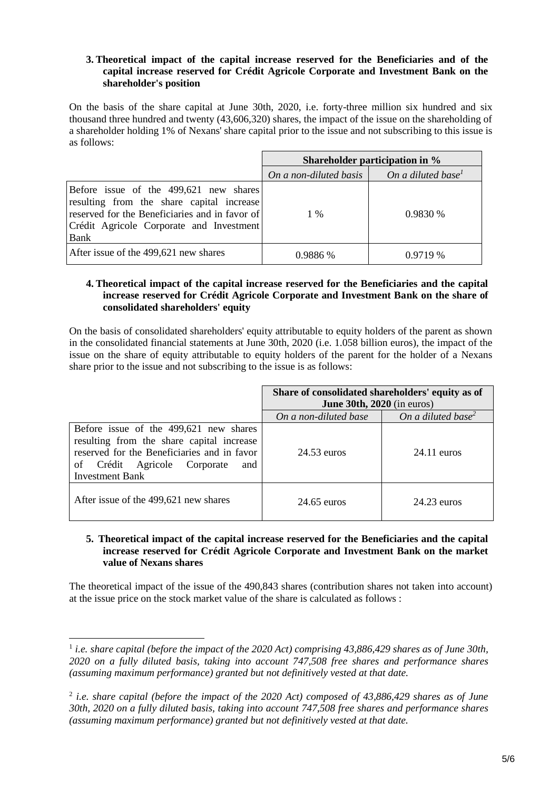## **3. Theoretical impact of the capital increase reserved for the Beneficiaries and of the capital increase reserved for Crédit Agricole Corporate and Investment Bank on the shareholder's position**

On the basis of the share capital at June 30th, 2020, i.e. forty-three million six hundred and six thousand three hundred and twenty (43,606,320) shares, the impact of the issue on the shareholding of a shareholder holding 1% of Nexans' share capital prior to the issue and not subscribing to this issue is as follows:

|                                                                                                                                                                                           | Shareholder participation in % |                                |
|-------------------------------------------------------------------------------------------------------------------------------------------------------------------------------------------|--------------------------------|--------------------------------|
|                                                                                                                                                                                           | On a non-diluted basis         | On a diluted base <sup>1</sup> |
| Before issue of the 499,621 new shares<br>resulting from the share capital increase<br>reserved for the Beneficiaries and in favor of<br>Crédit Agricole Corporate and Investment<br>Bank | $1\%$                          | 0.9830%                        |
| After issue of the 499,621 new shares                                                                                                                                                     | 0.9886%                        | $0.9719\%$                     |

## **4. Theoretical impact of the capital increase reserved for the Beneficiaries and the capital increase reserved for Crédit Agricole Corporate and Investment Bank on the share of consolidated shareholders' equity**

On the basis of consolidated shareholders' equity attributable to equity holders of the parent as shown in the consolidated financial statements at June 30th, 2020 (i.e. 1.058 billion euros), the impact of the issue on the share of equity attributable to equity holders of the parent for the holder of a Nexans share prior to the issue and not subscribing to the issue is as follows:

|                                                                                                                                                                                                     | Share of consolidated shareholders' equity as of<br>June $30th$ , $2020$ (in euros) |                                |
|-----------------------------------------------------------------------------------------------------------------------------------------------------------------------------------------------------|-------------------------------------------------------------------------------------|--------------------------------|
|                                                                                                                                                                                                     | On a non-diluted base                                                               | On a diluted base <sup>2</sup> |
| Before issue of the 499,621 new shares<br>resulting from the share capital increase<br>reserved for the Beneficiaries and in favor<br>of Crédit Agricole Corporate<br>and<br><b>Investment Bank</b> | 24.53 euros                                                                         | $24.11$ euros                  |
| After issue of the 499,621 new shares                                                                                                                                                               | $24.65$ euros                                                                       | 24.23 euros                    |

### **5. Theoretical impact of the capital increase reserved for the Beneficiaries and the capital increase reserved for Crédit Agricole Corporate and Investment Bank on the market value of Nexans shares**

The theoretical impact of the issue of the 490,843 shares (contribution shares not taken into account) at the issue price on the stock market value of the share is calculated as follows :

 $\overline{a}$ 

<sup>&</sup>lt;sup>1</sup> *i.e. share capital (before the impact of the 2020 Act) comprising 43,886,429 shares as of June 30th, 2020 on a fully diluted basis, taking into account 747,508 free shares and performance shares (assuming maximum performance) granted but not definitively vested at that date.*

<sup>2</sup> *i.e. share capital (before the impact of the 2020 Act) composed of 43,886,429 shares as of June 30th, 2020 on a fully diluted basis, taking into account 747,508 free shares and performance shares (assuming maximum performance) granted but not definitively vested at that date.*